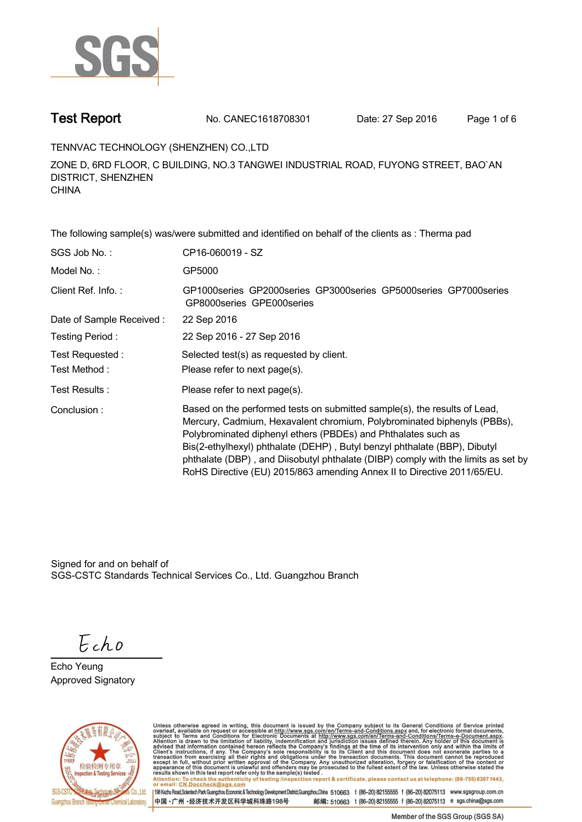

**Test Report. No. CANEC1618708301** Date: 27 Sep 2016 Page 1 of 6

**TENNVAC TECHNOLOGY (SHENZHEN) CO.,LTD .**

**ZONE D, 6RD FLOOR, C BUILDING, NO.3 TANGWEI INDUSTRIAL ROAD, FUYONG STREET, BAO`AN DISTRICT, SHENZHEN CHINA.**

**The following sample(s) was/were submitted and identified on behalf of the clients as : Therma pad . SGS Job No. : CP16-060019 - SZ. Model No. :. GP5000. Client Ref. Info. :. GP1000series GP2000series GP3000series GP5000series GP7000series GP8000series GPE000series . Date of Sample Received : . 22 Sep 2016. Testing Period :. 22 Sep 2016 - 27 Sep 2016 . Test Requested :. Selected test(s) as requested by client. . Please refer to next page(s). . Please refer to next page(s).**<br> **Please refer to next page(s).**<br> **Please refer to next page(s). Conclusion :. Based on the performed tests on submitted sample(s), the results of Lead, Mercury, Cadmium, Hexavalent chromium, Polybrominated biphenyls (PBBs), Polybrominated diphenyl ethers (PBDEs) and Phthalates such as Bis(2-ethylhexyl) phthalate (DEHP) , Butyl benzyl phthalate (BBP), Dibutyl phthalate (DBP) , and Diisobutyl phthalate (DIBP) comply with the limits as set by RoHS Directive (EU) 2015/863 amending Annex II to Directive 2011/65/EU. .**

Signed for and on behalf of SGS-CSTC Standards Technical Services Co., Ltd. Guangzhou Branch.

Echo

**Echo Yeung. Approved Signatory .**



Unless otherwise agreed in writing, this document is issued by the Company subject to its General Conditions of Service printed overleaf, available on request or accessible at http://www.sgs.com/en/Terms-and-Conditions.asp resums shown in this lost report releft only to the sample(s) rested .<br>Attention: To check the authenticity of testing /inspection report & certificate, please contact us at telephone: (86-755) 8307 1443,<br>or email: CN.Docc

198 Kezhu Road, Scientech Park Guangzhou Economic & Technology Development District, Guangzhou, China 510663 t (86-20) 82155555 f (86-20) 82075113 www.sgsgroup.com.cn 中国·广州·经济技术开发区科学城科珠路198号 邮编: 510663 t (86-20) 82155555 f (86-20) 82075113 e sgs.china@sgs.com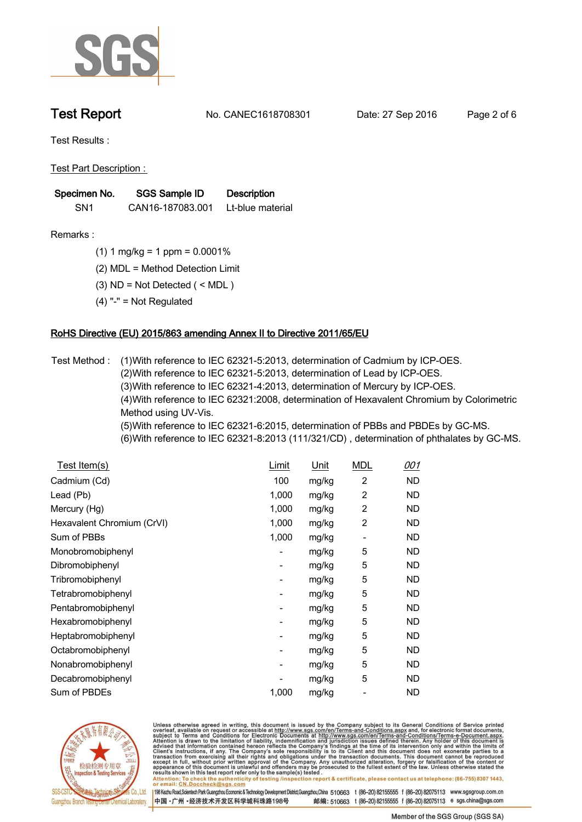

**Test Report. No. CANEC1618708301** Date: 27 Sep 2016 Page 2 of 6

**Test Results :.**

**Test Part Description : .**

| Specimen No.    | <b>SGS Sample ID</b> | <b>Description</b> |
|-----------------|----------------------|--------------------|
| SN <sub>1</sub> | CAN16-187083.001     | Lt-blue material   |

- **Remarks :.(1) 1 mg/kg = 1 ppm = 0.0001% .**
	- **(2) MDL = Method Detection Limit .**
	- **(3) ND = Not Detected ( < MDL ) .**
	- **(4) "-" = Not Regulated .**

## **RoHS Directive (EU) 2015/863 amending Annex II to Directive 2011/65/EU.**

**Test Method :. (1)With reference to IEC 62321-5:2013, determination of Cadmium by ICP-OES. (2)With reference to IEC 62321-5:2013, determination of Lead by ICP-OES. (3)With reference to IEC 62321-4:2013, determination of Mercury by ICP-OES. (4)With reference to IEC 62321:2008, determination of Hexavalent Chromium by Colorimetric Method using UV-Vis. (5)With reference to IEC 62321-6:2015, determination of PBBs and PBDEs by GC-MS. (6)With reference to IEC 62321-8:2013 (111/321/CD) , determination of phthalates by GC-MS. .**

| <u>Test Item(s)</u>        | <u>Limit</u>             | <u>Unit</u> | <b>MDL</b>               | 001       |
|----------------------------|--------------------------|-------------|--------------------------|-----------|
| Cadmium (Cd)               | 100                      | mg/kg       | 2                        | ND.       |
| Lead (Pb)                  | 1,000                    | mg/kg       | 2                        | ND.       |
| Mercury (Hg)               | 1,000                    | mg/kg       | 2                        | ND.       |
| Hexavalent Chromium (CrVI) | 1,000                    | mg/kg       | 2                        | ND.       |
| Sum of PBBs                | 1,000                    | mg/kg       | $\overline{\phantom{0}}$ | ND.       |
| Monobromobiphenyl          | -                        | mg/kg       | 5                        | ND.       |
| Dibromobiphenyl            | $\overline{\phantom{a}}$ | mg/kg       | 5                        | ND.       |
| Tribromobiphenyl           | -                        | mg/kg       | 5                        | <b>ND</b> |
| Tetrabromobiphenyl         | -                        | mg/kg       | 5                        | ND.       |
| Pentabromobiphenyl         |                          | mg/kg       | 5                        | ND.       |
| Hexabromobiphenyl          | -                        | mg/kg       | 5                        | ND.       |
| Heptabromobiphenyl         | ٠                        | mg/kg       | 5                        | ND.       |
| Octabromobiphenyl          | ۰                        | mg/kg       | 5                        | ND.       |
| Nonabromobiphenyl          | -                        | mg/kg       | 5                        | ND.       |
| Decabromobiphenyl          |                          | mg/kg       | 5                        | ND.       |
| Sum of PBDEs               | 1,000                    | mg/kg       |                          | ND        |



Unless otherwise agreed in writing, this document is issued by the Company subject to its General Conditions of Service printed overleaf, available on request or accessible at http://www.sgs.com/en/Terms-and-Conditions.asp resuns shown in this test report refer only to the sample(s) tested .<br>Attention: To check the authenticity of testing /inspection report & certificate, please contact us at telephone: (86-755) 8307 1443,<br>or email: <u>CN.Docc</u>

198 Kezhu Road,Scientech Park Guangzhou Economic & Technology Development District,Guangzhou,China 510663 t (86-20) 82155555 f (86-20) 82075113 www.sgsgroup.com.cn 中国·广州·经济技术开发区科学城科珠路198号 邮编: 510663 t (86-20) 82155555 f (86-20) 82075113 e sgs.china@sgs.com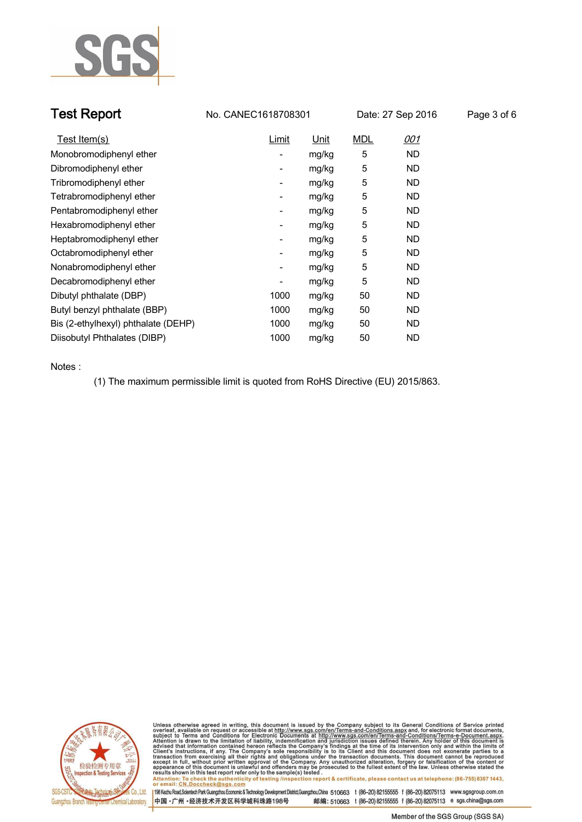

| <b>Test Report</b> | No. CANEC1618708301 | Date: 27 Sep 2016 | Page 3 of 6 |
|--------------------|---------------------|-------------------|-------------|
|--------------------|---------------------|-------------------|-------------|

| Test Item(s)                        | Limit                    | Unit  | <b>MDL</b> | <u>001</u> |
|-------------------------------------|--------------------------|-------|------------|------------|
| Monobromodiphenyl ether             | -                        | mg/kg | 5          | ND.        |
| Dibromodiphenyl ether               | -                        | mg/kg | 5          | ND.        |
| Tribromodiphenyl ether              | -                        | mg/kg | 5          | ND.        |
| Tetrabromodiphenyl ether            |                          | mg/kg | 5          | ND.        |
| Pentabromodiphenyl ether            | -                        | mg/kg | 5          | ND.        |
| Hexabromodiphenyl ether             | -                        | mg/kg | 5          | ND.        |
| Heptabromodiphenyl ether            | $\overline{\phantom{a}}$ | mg/kg | 5          | ND.        |
| Octabromodiphenyl ether             | -                        | mg/kg | 5          | ND.        |
| Nonabromodiphenyl ether             | -                        | mg/kg | 5          | ND.        |
| Decabromodiphenyl ether             |                          | mg/kg | 5          | ND.        |
| Dibutyl phthalate (DBP)             | 1000                     | mg/kg | 50         | ND.        |
| Butyl benzyl phthalate (BBP)        | 1000                     | mg/kg | 50         | ND.        |
| Bis (2-ethylhexyl) phthalate (DEHP) | 1000                     | mg/kg | 50         | ND.        |
| Diisobutyl Phthalates (DIBP)        | 1000                     | mg/kg | 50         | ND.        |

**Notes :.**

**(1) The maximum permissible limit is quoted from RoHS Directive (EU) 2015/863. .**



Unless otherwise agreed in writing, this document is issued by the Company subject to its General Conditions of Service printed overleaf, available on request or accessible at http://www.sgs.com/en/Terms-and-Conditions.asp Attention: To check the authenticity of testing /inspection report & certificate, please contact us at telephone: (86-755) 8307 1443,<br>Attention: To check the authenticity of testing /inspection report & certificate, please

198 Kezhu Road,Scientech Park Guangzhou Economic & Technology Development District,Guangzhou,China 510663 t (86-20) 82155555 f (86-20) 82075113 www.sgsgroup.com.cn 中国·广州·经济技术开发区科学城科珠路198号 邮编: 510663 t (86-20) 82155555 f (86-20) 82075113 e sgs.china@sgs.com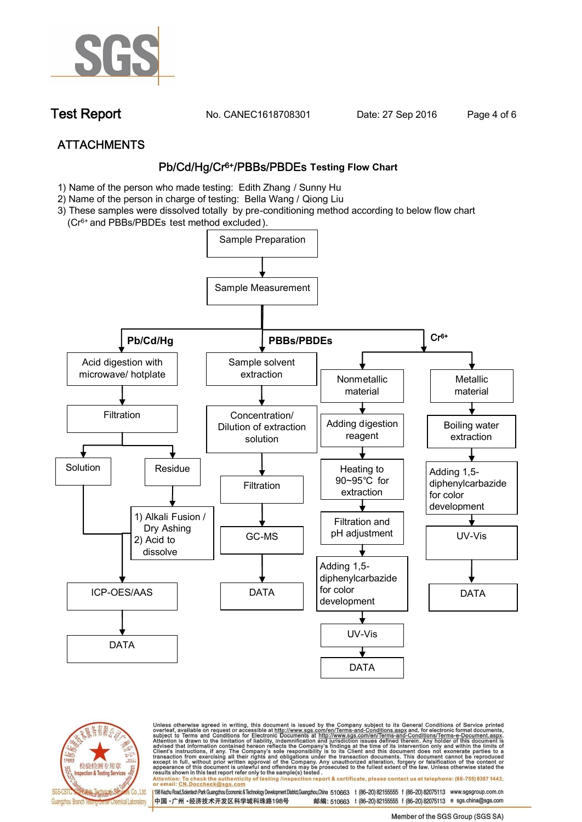

**Test Report. No. CANEC1618708301** Date: 27 Sep 2016 Page 4 of 6

# **ATTACHMENTS Pb/Cd/Hg/Cr6+/PBBs/PBDEs Testing Flow Chart**

- **1) Name of the person who made testing: Edith Zhang / Sunny Hu**
- **2) Name of the person in charge of testing: Bella Wang / Qiong Liu**
- **3) These samples were dissolved totally by pre-conditioning method according to below flow chart**
- **(Cr6+ and PBBs/PBDEs test method excluded ).**





Unless otherwise agreed in writing, this document is issued by the Company subject to its General Conditions of Service printed<br>overleaf, available on request or accessible at http://www.sgs.com/en/Terms-and-Conditions.asp résults shown in this test report refer only to the sample(s) tésted .<br>Attention: To check the authenticity of testing /inspection report & certificate, please contact us at telephone: (86-755) 8307 1443,<br>or email: <u>CN.Doc</u>

198 Kezhu Road,Scientech Park Guangzhou Economic & Technology Development District,Guangzhou,China 510663 t (86-20) 82155555 f (86-20) 82075113 www.sgsgroup.com.cn 中国·广州·经济技术开发区科学城科珠路198号 邮编: 510663 t (86-20) 82155555 f (86-20) 82075113 e sgs.china@sgs.com

Member of the SGS Group (SGS SA)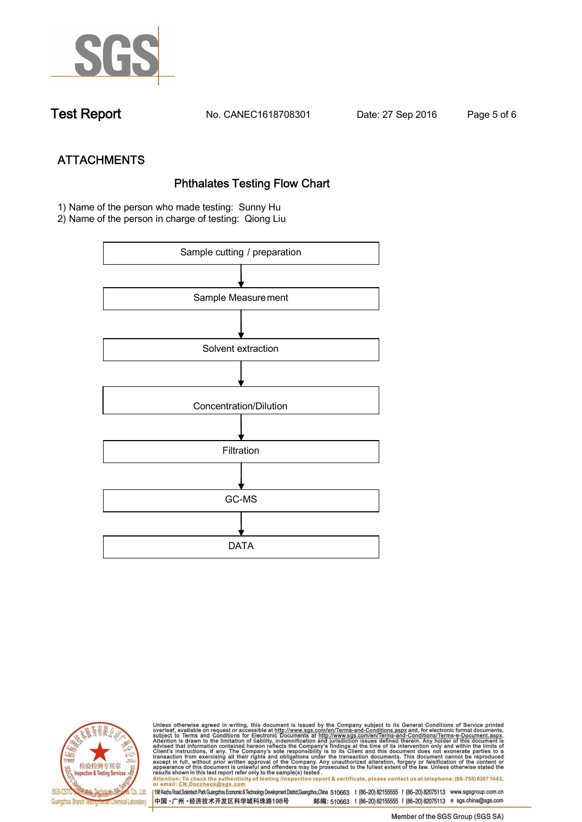

**Test Report. No. CANEC1618708301 Date: 27 Sep 2016. Page 5 of 6.**

**ATTACHMENTS Phthalates Testing Flow Chart 1) Name of the person who made testing: Sunny Hu**

**2) Name of the person in charge of testing: Qiong Liu**





Unless otherwise agreed in writing, this document is issued by the Company subject to its General Conditions of Service printed<br>overleaf, available on request or accessible at http://www.sgs.com/en/Terms-and-Conditions.asp results shown in this test report refer only to the sample(s) tested .<br>Attention: To check the authenticity of testing /inspection report & certificate, please contact us at telephone: (86-755) 8307 1443,<br>or email: <u>CN.Doc</u>

198 Kezhu Road,Scientech Park Guangzhou Economic & Technology Development District,Guangzhou,China 510663 t (86-20) 82155555 f (86-20) 82075113 www.sgsgroup.com.cn 中国·广州·经济技术开发区科学城科珠路198号 邮编: 510663 t (86-20) 82155555 f (86-20) 82075113 e sgs.china@sgs.com